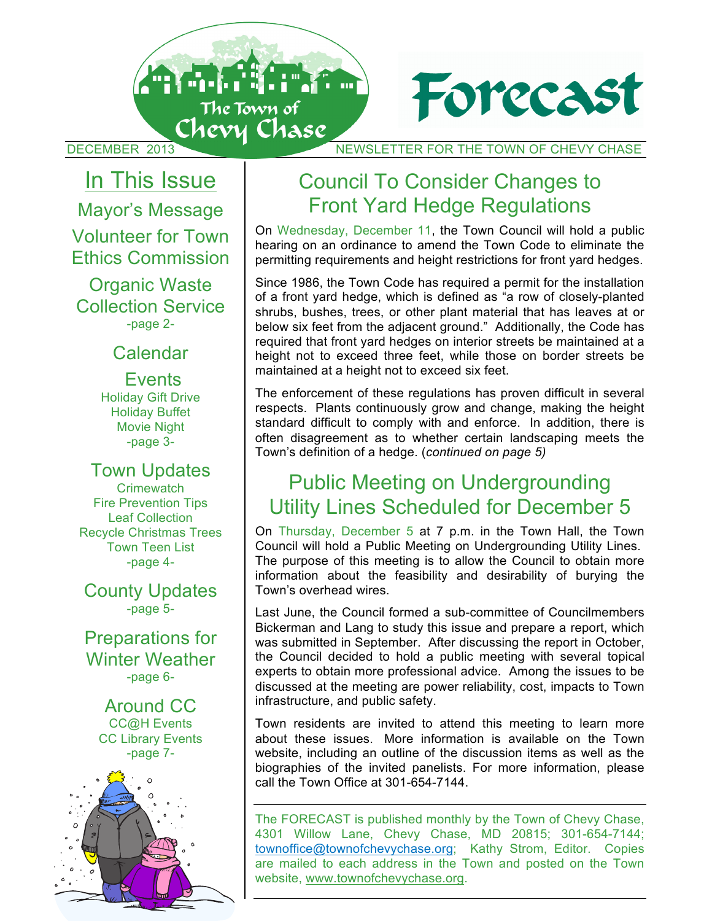



DECEMBER 2013 NEWSLETTER FOR THE TOWN OF CHEVY CHASE

 In This Issue Mayor's Message Volunteer for Town Ethics Commission

Organic Waste Collection Service -page 2-

#### Calendar

#### **Events**

Holiday Gift Drive Holiday Buffet Movie Night -page 3-

Town Updates **Crimewatch** Fire Prevention Tips Leaf Collection Recycle Christmas Trees Town Teen List -page 4-

County Updates -page 5-

Preparations for Winter Weather -page 6-

> Around CC CC@H Events CC Library Events -page 7-



# Council To Consider Changes to Front Yard Hedge Regulations

On Wednesday, December 11, the Town Council will hold a public hearing on an ordinance to amend the Town Code to eliminate the permitting requirements and height restrictions for front yard hedges.

Since 1986, the Town Code has required a permit for the installation of a front yard hedge, which is defined as "a row of closely-planted shrubs, bushes, trees, or other plant material that has leaves at or below six feet from the adjacent ground." Additionally, the Code has required that front yard hedges on interior streets be maintained at a height not to exceed three feet, while those on border streets be maintained at a height not to exceed six feet.

The enforcement of these regulations has proven difficult in several respects. Plants continuously grow and change, making the height standard difficult to comply with and enforce. In addition, there is often disagreement as to whether certain landscaping meets the Town's definition of a hedge. (*continued on page 5)*

# Public Meeting on Undergrounding Utility Lines Scheduled for December 5

On Thursday, December 5 at 7 p.m. in the Town Hall, the Town Council will hold a Public Meeting on Undergrounding Utility Lines. The purpose of this meeting is to allow the Council to obtain more information about the feasibility and desirability of burying the Town's overhead wires.

Last June, the Council formed a sub-committee of Councilmembers Bickerman and Lang to study this issue and prepare a report, which was submitted in September. After discussing the report in October, the Council decided to hold a public meeting with several topical experts to obtain more professional advice. Among the issues to be discussed at the meeting are power reliability, cost, impacts to Town infrastructure, and public safety.

Town residents are invited to attend this meeting to learn more about these issues. More information is available on the Town website, including an outline of the discussion items as well as the biographies of the invited panelists. For more information, please call the Town Office at 301-654-7144.

**1** website, www.townofchevychase.org.The FORECAST is published monthly by the Town of Chevy Chase, 4301 Willow Lane, Chevy Chase, MD 20815; 301-654-7144; townoffice@townofchevychase.org; Kathy Strom, Editor. Copies are mailed to each address in the Town and posted on the Town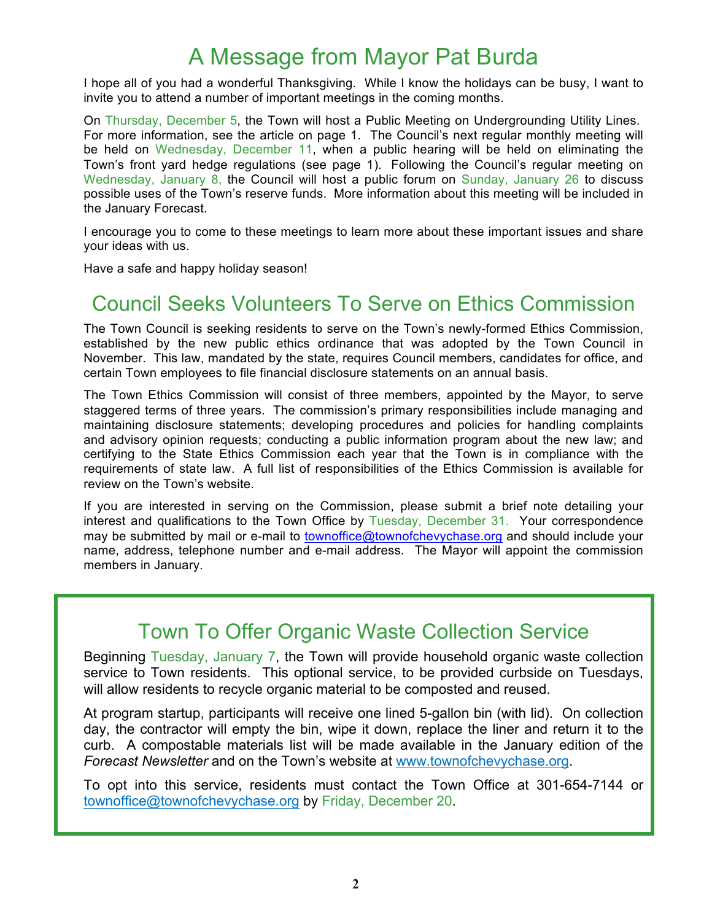# A Message from Mayor Pat Burda

I hope all of you had a wonderful Thanksgiving. While I know the holidays can be busy, I want to invite you to attend a number of important meetings in the coming months.

On Thursday, December 5, the Town will host a Public Meeting on Undergrounding Utility Lines. For more information, see the article on page 1. The Council's next regular monthly meeting will be held on Wednesday, December 11, when a public hearing will be held on eliminating the Town's front yard hedge regulations (see page 1). Following the Council's regular meeting on Wednesday, January 8, the Council will host a public forum on Sunday, January 26 to discuss possible uses of the Town's reserve funds. More information about this meeting will be included in the January Forecast.

I encourage you to come to these meetings to learn more about these important issues and share your ideas with us.

Have a safe and happy holiday season!

## Council Seeks Volunteers To Serve on Ethics Commission

The Town Council is seeking residents to serve on the Town's newly-formed Ethics Commission, established by the new public ethics ordinance that was adopted by the Town Council in November. This law, mandated by the state, requires Council members, candidates for office, and certain Town employees to file financial disclosure statements on an annual basis.

The Town Ethics Commission will consist of three members, appointed by the Mayor, to serve staggered terms of three years. The commission's primary responsibilities include managing and maintaining disclosure statements; developing procedures and policies for handling complaints and advisory opinion requests; conducting a public information program about the new law; and certifying to the State Ethics Commission each year that the Town is in compliance with the requirements of state law. A full list of responsibilities of the Ethics Commission is available for review on the Town's website.

If you are interested in serving on the Commission, please submit a brief note detailing your interest and qualifications to the Town Office by Tuesday, December 31. Your correspondence may be submitted by mail or e-mail to townoffice@townofchevychase.org and should include your name, address, telephone number and e-mail address. The Mayor will appoint the commission members in January.

### Town To Offer Organic Waste Collection Service

Beginning Tuesday, January 7, the Town will provide household organic waste collection service to Town residents. This optional service, to be provided curbside on Tuesdays, will allow residents to recycle organic material to be composted and reused.

At program startup, participants will receive one lined 5-gallon bin (with lid). On collection day, the contractor will empty the bin, wipe it down, replace the liner and return it to the curb. A compostable materials list will be made available in the January edition of the *Forecast Newsletter* and on the Town's website at www.townofchevychase.org.

To opt into this service, residents must contact the Town Office at 301-654-7144 or townoffice@townofchevychase.org by Friday, December 20.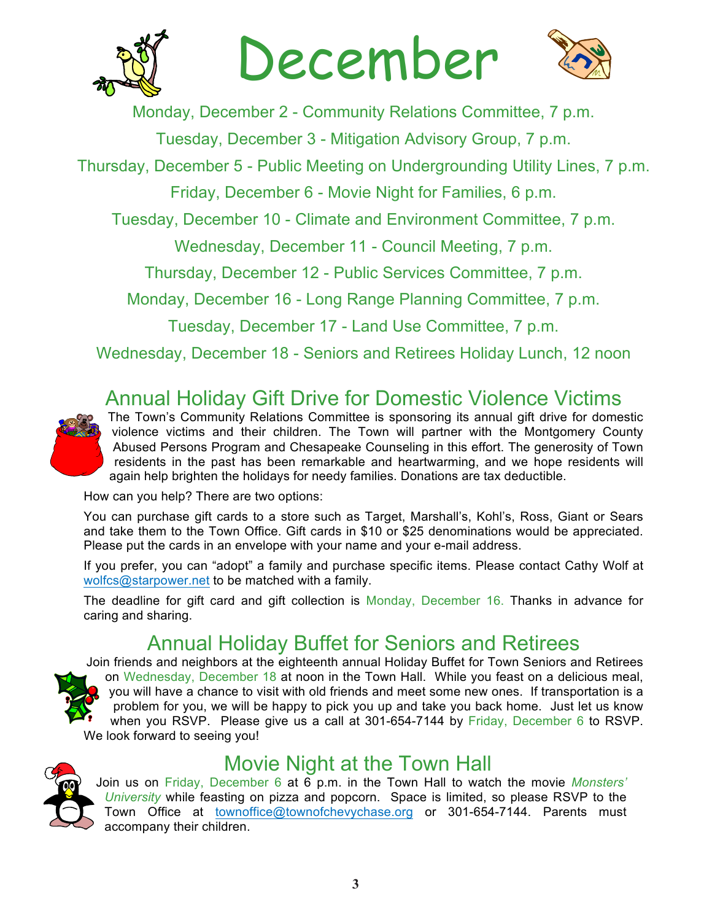

December



Monday, December 2 - Community Relations Committee, 7 p.m.

Tuesday, December 3 - Mitigation Advisory Group, 7 p.m.

Thursday, December 5 - Public Meeting on Undergrounding Utility Lines, 7 p.m.

Friday, December 6 - Movie Night for Families, 6 p.m.

Tuesday, December 10 - Climate and Environment Committee, 7 p.m.

Wednesday, December 11 - Council Meeting, 7 p.m.

Thursday, December 12 - Public Services Committee, 7 p.m.

Monday, December 16 - Long Range Planning Committee, 7 p.m.

Tuesday, December 17 - Land Use Committee, 7 p.m.

Wednesday, December 18 - Seniors and Retirees Holiday Lunch, 12 noon

# Annual Holiday Gift Drive for Domestic Violence Victims



The Town's Community Relations Committee is sponsoring its annual gift drive for domestic violence victims and their children. The Town will partner with the Montgomery County Abused Persons Program and Chesapeake Counseling in this effort. The generosity of Town residents in the past has been remarkable and heartwarming, and we hope residents will again help brighten the holidays for needy families. Donations are tax deductible.

How can you help? There are two options:

You can purchase gift cards to a store such as Target, Marshall's, Kohl's, Ross, Giant or Sears and take them to the Town Office. Gift cards in \$10 or \$25 denominations would be appreciated. Please put the cards in an envelope with your name and your e-mail address.

If you prefer, you can "adopt" a family and purchase specific items. Please contact Cathy Wolf at wolfcs@starpower.net to be matched with a family.

The deadline for gift card and gift collection is Monday, December 16. Thanks in advance for caring and sharing.

# Annual Holiday Buffet for Seniors and Retirees

Join friends and neighbors at the eighteenth annual Holiday Buffet for Town Seniors and Retirees on Wednesday, December 18 at noon in the Town Hall. While you feast on a delicious meal, you will have a chance to visit with old friends and meet some new ones. If transportation is a problem for you, we will be happy to pick you up and take you back home. Just let us know when you RSVP. Please give us a call at 301-654-7144 by Friday, December 6 to RSVP. We look forward to seeing you!

# Movie Night at the Town Hall

Join us on Friday, December 6 at 6 p.m. in the Town Hall to watch the movie *Monsters' University* while feasting on pizza and popcorn. Space is limited, so please RSVP to the Town Office at townoffice@townofchevychase.org or 301-654-7144. Parents must accompany their children.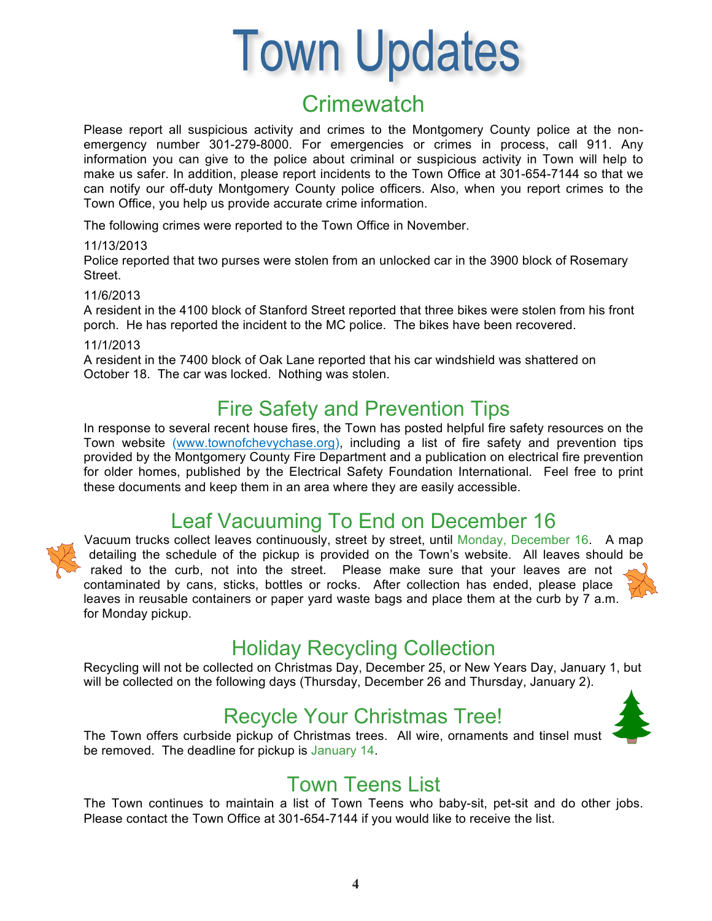# **Town Updates**

# **Crimewatch**

Please report all suspicious activity and crimes to the Montgomery County police at the nonemergency number 301-279-8000. For emergencies or crimes in process, call 911. Any information you can give to the police about criminal or suspicious activity in Town will help to make us safer. In addition, please report incidents to the Town Office at 301-654-7144 so that we can notify our off-duty Montgomery County police officers. Also, when you report crimes to the Town Office, you help us provide accurate crime information.

The following crimes were reported to the Town Office in November.

#### 11/13/2013

Police reported that two purses were stolen from an unlocked car in the 3900 block of Rosemary Street.

#### 11/6/2013

A resident in the 4100 block of Stanford Street reported that three bikes were stolen from his front porch. He has reported the incident to the MC police. The bikes have been recovered.

#### 11/1/2013

A resident in the 7400 block of Oak Lane reported that his car windshield was shattered on October 18. The car was locked. Nothing was stolen.

# Fire Safety and Prevention Tips

In response to several recent house fires, the Town has posted helpful fire safety resources on the Town website (www.townofchevychase.org), including a list of fire safety and prevention tips provided by the Montgomery County Fire Department and a publication on electrical fire prevention for older homes, published by the Electrical Safety Foundation International. Feel free to print these documents and keep them in an area where they are easily accessible.

# Leaf Vacuuming To End on December 16

Vacuum trucks collect leaves continuously, street by street, until Monday, December 16. A map detailing the schedule of the pickup is provided on the Town's website. All leaves should be raked to the curb, not into the street. Please make sure that your leaves are not contaminated by cans, sticks, bottles or rocks. After collection has ended, please place leaves in reusable containers or paper yard waste bags and place them at the curb by 7 a.m. for Monday pickup.



# Holiday Recycling Collection

Recycling will not be collected on Christmas Day, December 25, or New Years Day, January 1, but will be collected on the following days (Thursday, December 26 and Thursday, January 2).

# Recycle Your Christmas Tree!

The Town offers curbside pickup of Christmas trees. All wire, ornaments and tinsel must be removed. The deadline for pickup is January 14.



### Town Teens List

The Town continues to maintain a list of Town Teens who baby-sit, pet-sit and do other jobs. Please contact the Town Office at 301-654-7144 if you would like to receive the list.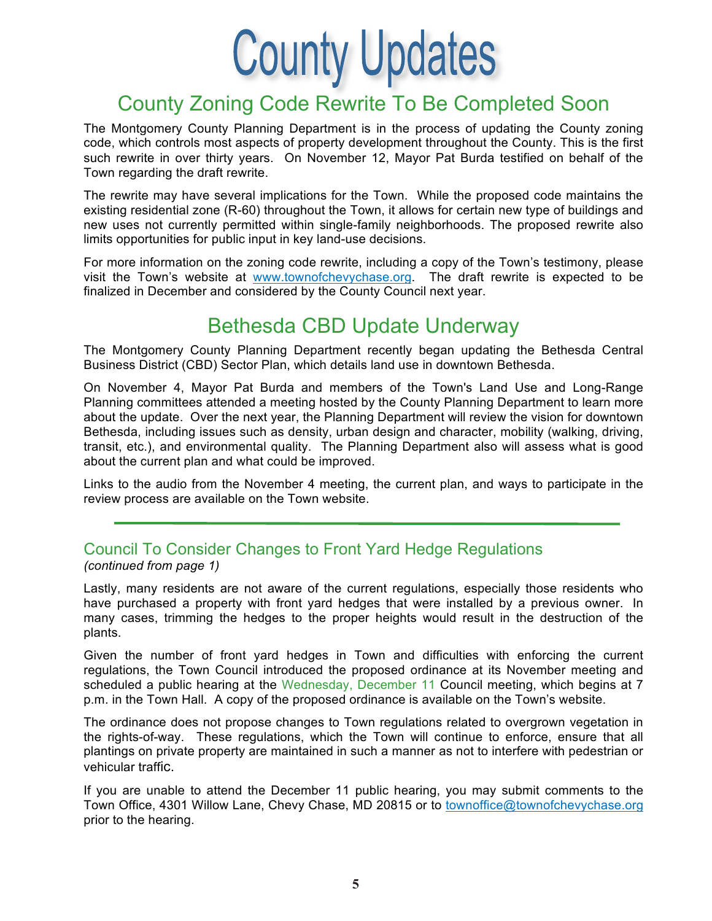

# County Zoning Code Rewrite To Be Completed Soon

The Montgomery County Planning Department is in the process of updating the County zoning code, which controls most aspects of property development throughout the County. This is the first such rewrite in over thirty years. On November 12, Mayor Pat Burda testified on behalf of the Town regarding the draft rewrite.

The rewrite may have several implications for the Town. While the proposed code maintains the existing residential zone (R-60) throughout the Town, it allows for certain new type of buildings and new uses not currently permitted within single-family neighborhoods. The proposed rewrite also limits opportunities for public input in key land-use decisions.

For more information on the zoning code rewrite, including a copy of the Town's testimony, please visit the Town's website at www.townofchevychase.org. The draft rewrite is expected to be finalized in December and considered by the County Council next year.

#### Bethesda CBD Update Underway

The Montgomery County Planning Department recently began updating the Bethesda Central Business District (CBD) Sector Plan, which details land use in downtown Bethesda.

On November 4, Mayor Pat Burda and members of the Town's Land Use and Long-Range Planning committees attended a meeting hosted by the County Planning Department to learn more about the update. Over the next year, the Planning Department will review the vision for downtown Bethesda, including issues such as density, urban design and character, mobility (walking, driving, transit, etc.), and environmental quality. The Planning Department also will assess what is good about the current plan and what could be improved.

Links to the audio from the November 4 meeting, the current plan, and ways to participate in the review process are available on the Town website.

# Council To Consider Changes to Front Yard Hedge Regulations

*(continued from page 1)*

Lastly, many residents are not aware of the current regulations, especially those residents who have purchased a property with front yard hedges that were installed by a previous owner. In many cases, trimming the hedges to the proper heights would result in the destruction of the plants.

Given the number of front yard hedges in Town and difficulties with enforcing the current regulations, the Town Council introduced the proposed ordinance at its November meeting and scheduled a public hearing at the Wednesday, December 11 Council meeting, which begins at 7 p.m. in the Town Hall. A copy of the proposed ordinance is available on the Town's website.

The ordinance does not propose changes to Town regulations related to overgrown vegetation in the rights-of-way. These regulations, which the Town will continue to enforce, ensure that all plantings on private property are maintained in such a manner as not to interfere with pedestrian or vehicular traffic.

If you are unable to attend the December 11 public hearing, you may submit comments to the Town Office, 4301 Willow Lane, Chevy Chase, MD 20815 or to townoffice@townofchevychase.org prior to the hearing.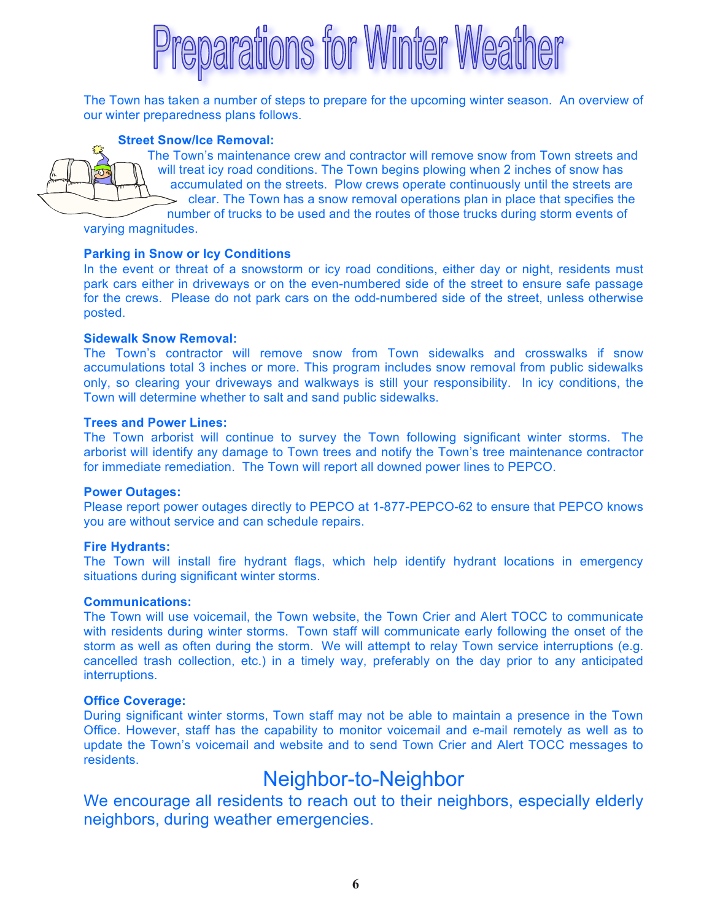# eparations for Winter Weather

The Town has taken a number of steps to prepare for the upcoming winter season. An overview of our winter preparedness plans follows.

#### **Street Snow/Ice Removal:**

The Town's maintenance crew and contractor will remove snow from Town streets and will treat icy road conditions. The Town begins plowing when 2 inches of snow has accumulated on the streets. Plow crews operate continuously until the streets are clear. The Town has a snow removal operations plan in place that specifies the number of trucks to be used and the routes of those trucks during storm events of

varying magnitudes.

#### **Parking in Snow or Icy Conditions**

In the event or threat of a snowstorm or icy road conditions, either day or night, residents must park cars either in driveways or on the even-numbered side of the street to ensure safe passage for the crews. Please do not park cars on the odd-numbered side of the street, unless otherwise posted.

#### **Sidewalk Snow Removal:**

The Town's contractor will remove snow from Town sidewalks and crosswalks if snow accumulations total 3 inches or more. This program includes snow removal from public sidewalks only, so clearing your driveways and walkways is still your responsibility. In icy conditions, the Town will determine whether to salt and sand public sidewalks.

#### **Trees and Power Lines:**

The Town arborist will continue to survey the Town following significant winter storms. The arborist will identify any damage to Town trees and notify the Town's tree maintenance contractor for immediate remediation. The Town will report all downed power lines to PEPCO.

#### **Power Outages:**

Please report power outages directly to PEPCO at 1-877-PEPCO-62 to ensure that PEPCO knows you are without service and can schedule repairs.

#### **Fire Hydrants:**

The Town will install fire hydrant flags, which help identify hydrant locations in emergency situations during significant winter storms.

#### **Communications:**

The Town will use voicemail, the Town website, the Town Crier and Alert TOCC to communicate with residents during winter storms. Town staff will communicate early following the onset of the storm as well as often during the storm. We will attempt to relay Town service interruptions (e.g. cancelled trash collection, etc.) in a timely way, preferably on the day prior to any anticipated interruptions.

#### **Office Coverage:**

During significant winter storms, Town staff may not be able to maintain a presence in the Town Office. However, staff has the capability to monitor voicemail and e-mail remotely as well as to update the Town's voicemail and website and to send Town Crier and Alert TOCC messages to residents.

#### Neighbor-to-Neighbor

We encourage all residents to reach out to their neighbors, especially elderly neighbors, during weather emergencies.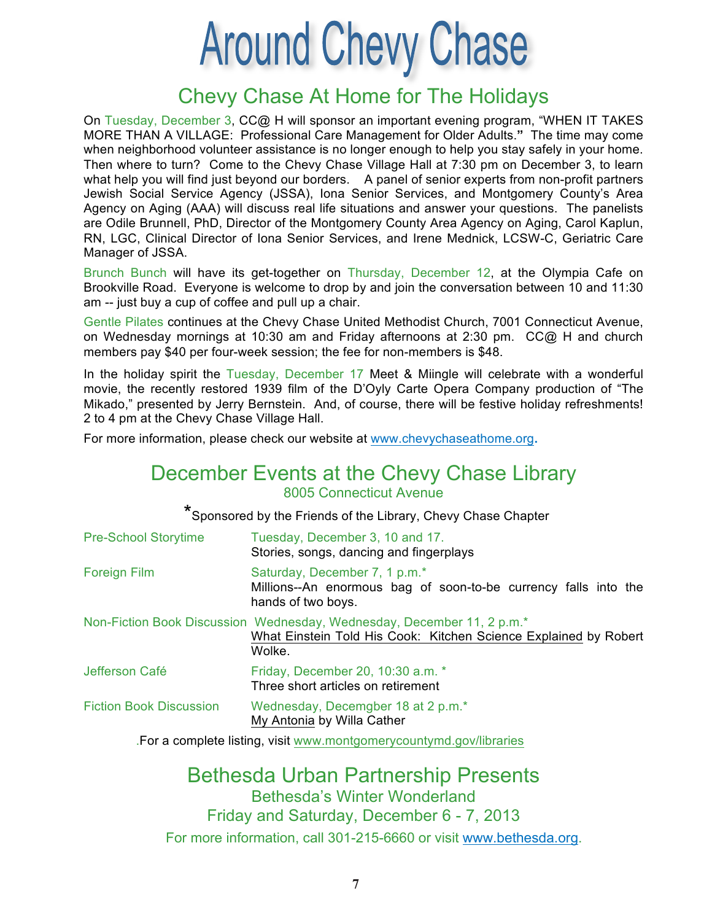# **Around Chevy Chase**

### Chevy Chase At Home for The Holidays

On Tuesday, December 3, CC@ H will sponsor an important evening program, "WHEN IT TAKES MORE THAN A VILLAGE: Professional Care Management for Older Adults.**"** The time may come when neighborhood volunteer assistance is no longer enough to help you stay safely in your home. Then where to turn? Come to the Chevy Chase Village Hall at 7:30 pm on December 3, to learn what help you will find just beyond our borders. A panel of senior experts from non-profit partners Jewish Social Service Agency (JSSA), Iona Senior Services, and Montgomery County's Area Agency on Aging (AAA) will discuss real life situations and answer your questions. The panelists are Odile Brunnell, PhD, Director of the Montgomery County Area Agency on Aging, Carol Kaplun, RN, LGC, Clinical Director of Iona Senior Services, and Irene Mednick, LCSW-C, Geriatric Care Manager of JSSA.

Brunch Bunch will have its get-together on Thursday, December 12, at the Olympia Cafe on Brookville Road. Everyone is welcome to drop by and join the conversation between 10 and 11:30 am -- just buy a cup of coffee and pull up a chair.

Gentle Pilates continues at the Chevy Chase United Methodist Church, 7001 Connecticut Avenue, on Wednesday mornings at 10:30 am and Friday afternoons at 2:30 pm. CC@ H and church members pay \$40 per four-week session; the fee for non-members is \$48.

In the holiday spirit the Tuesday, December 17 Meet & Miingle will celebrate with a wonderful movie, the recently restored 1939 film of the D'Oyly Carte Opera Company production of "The Mikado," presented by Jerry Bernstein. And, of course, there will be festive holiday refreshments! 2 to 4 pm at the Chevy Chase Village Hall.

For more information, please check our website at www.chevychaseathome.org**.**

#### December Events at the Chevy Chase Library 8005 Connecticut Avenue

\*Sponsored by the Friends of the Library, Chevy Chase Chapter

| <b>Pre-School Storytime</b>    | Tuesday, December 3, 10 and 17.<br>Stories, songs, dancing and fingerplays                                                                           |
|--------------------------------|------------------------------------------------------------------------------------------------------------------------------------------------------|
| <b>Foreign Film</b>            | Saturday, December 7, 1 p.m.*<br>Millions--An enormous bag of soon-to-be currency falls into the<br>hands of two boys.                               |
|                                | Non-Fiction Book Discussion Wednesday, Wednesday, December 11, 2 p.m.*<br>What Einstein Told His Cook: Kitchen Science Explained by Robert<br>Wolke. |
| Jefferson Café                 | Friday, December 20, 10:30 a.m. *<br>Three short articles on retirement                                                                              |
| <b>Fiction Book Discussion</b> | Wednesday, Decemgber 18 at 2 p.m.*<br>My Antonia by Willa Cather                                                                                     |

.For a complete listing, visit www.montgomerycountymd.gov/libraries

Bethesda Urban Partnership Presents Bethesda's Winter Wonderland Friday and Saturday, December 6 - 7, 2013 For more information, call 301-215-6660 or visit www.bethesda.org.